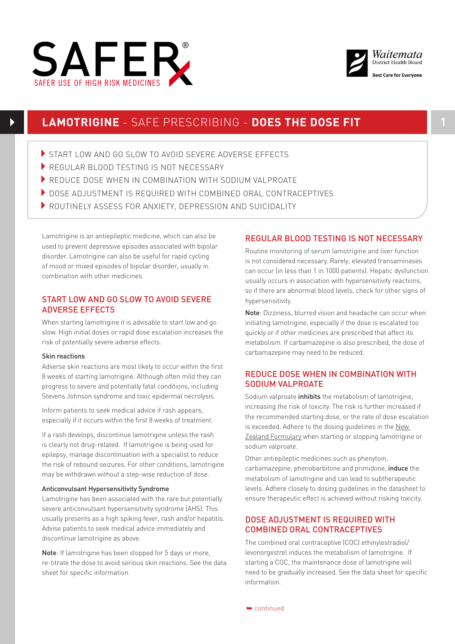



# **LAMOTRIGINE** - SAFE PRESCRIBING - **DOES THE DOSE FIT 1**

- START LOW AND GO SLOW TO AVOID SEVERE ADVERSE EFFECTS
- REGULAR BLOOD TESTING IS NOT NECESSARY
- REDUCE DOSE WHEN IN COMBINATION WITH SODIUM VALPROATE
- **DOSE ADJUSTMENT IS REQUIRED WITH COMBINED ORAL CONTRACEPTIVES**
- ROUTINELY ASSESS FOR ANXIETY, DEPRESSION AND SUICIDALITY

Lamotrigine is an antiepileptic medicine, which can also be used to prevent depressive episodes associated with bipolar disorder. Lamotrigine can also be useful for rapid cycling of mood or mixed episodes of bipolar disorder, usually in combination with other medicines.

## START LOW AND GO SLOW TO AVOID SEVERE ADVERSE EFFECTS

When starting lamotrigine it is advisable to start low and go slow. High initial doses or rapid dose escalation increases the risk of potentially severe adverse effects.

## Skin reactions

Adverse skin reactions are most likely to occur within the first 8 weeks of starting lamotrigine. Although often mild they can progress to severe and potentially fatal conditions, including Stevens Johnson syndrome and toxic epidermal necrolysis.

Inform patients to seek medical advice if rash appears, especially if it occurs within the first 8 weeks of treatment.

If a rash develops, discontinue lamotrigine unless the rash is clearly not drug-related. If lamotrigine is being used for epilepsy, manage discontinuation with a specialist to reduce the risk of rebound seizures. For other conditions, lamotrigine may be withdrawn without a step-wise reduction of dose.

## Anticonvulsant Hypersensitivity Syndrome

Lamotrigine has been associated with the rare but potentially severe anticonvulsant hypersensitivity syndrome (AHS). This usually presents as a high spiking fever, rash and/or hepatitis. Advise patients to seek medical advice immediately and discontinue lamotrigine as above.

Note: If lamotrigine has been stopped for 5 days or more, re-titrate the dose to avoid serious skin reactions. See the data sheet for specific information.

## REGULAR BLOOD TESTING IS NOT NECESSARY

Routine monitoring of serum lamotrigine and liver function is not considered necessary. Rarely, elevated transaminases can occur (in less than 1 in 1000 patients). Hepatic dysfunction usually occurs in association with hypersensitivity reactions, so if there are abnormal blood levels, check for other signs of hypersensitivity.

Note: Dizziness, blurred vision and headache can occur when initiating lamotrigine, especially if the dose is escalated too quickly or if other medicines are prescribed that affect its metabolism. If carbamazepine is also prescribed, the dose of carbamazepine may need to be reduced.

# REDUCE DOSE WHEN IN COMBINATION WITH SODIUM VALPROATE

Sodium valproate *inhibits* the metabolism of lamotrigine, increasing the risk of toxicity. The risk is further increased if the recommended starting dose, or the rate of dose escalation is exceeded. Adhere to the dosing guidelines in the [New](http://nzf.org.nz/nzf_2326)  [Zealand Formulary](http://nzf.org.nz/nzf_2326) when starting or stopping lamotrigine or sodium valproate.

Other antiepileptic medicines such as phenytoin, carbamazepine, phenobarbitone and primidone, induce the metabolism of lamotrigine and can lead to subtherapeutic levels. Adhere closely to dosing guidelines in the datasheet to ensure therapeutic effect is achieved without risking toxicity.

## DOSE ADJUSTMENT IS REQUIRED WITH COMBINED ORAL CONTRACEPTIVES

The combined oral contraceptive (COC) ethinylestradiol/ levonorgestrel induces the metabolism of lamotrigine. If starting a COC, the maintenance dose of lamotrigine will need to be gradually increased. See the data sheet for specific information.

➥ continued